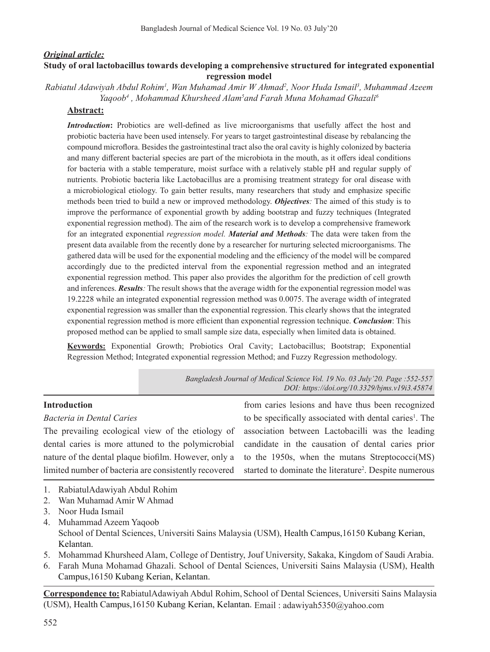# *Original article:* **Study of oral lactobacillus towards developing a comprehensive structured for integrated exponential regression model**

*Rabiatul Adawiyah Abdul Rohim1 , Wan Muhamad Amir W Ahmad2 , Noor Huda Ismail3 , Muhammad Azeem*  Yaqoob<sup>4</sup>, Mohammad Khursheed Alam<sup>5</sup>and Farah Muna Mohamad Ghazali<sup>6</sup>

## **Abstract:**

*Introduction*: Probiotics are well-defined as live microorganisms that usefully affect the host and probiotic bacteria have been used intensely. For years to target gastrointestinal disease by rebalancing the compound microflora. Besides the gastrointestinal tract also the oral cavity is highly colonized by bacteria and many different bacterial species are part of the microbiota in the mouth, as it offers ideal conditions for bacteria with a stable temperature, moist surface with a relatively stable pH and regular supply of nutrients. Probiotic bacteria like Lactobacillus are a promising treatment strategy for oral disease with a microbiological etiology. To gain better results, many researchers that study and emphasize specific methods been tried to build a new or improved methodology. *Objectives:* The aimed of this study is to improve the performance of exponential growth by adding bootstrap and fuzzy techniques (Integrated exponential regression method). The aim of the research work is to develop a comprehensive framework for an integrated exponential *regression model. Material and Methods:* The data were taken from the present data available from the recently done by a researcher for nurturing selected microorganisms. The gathered data will be used for the exponential modeling and the efficiency of the model will be compared accordingly due to the predicted interval from the exponential regression method and an integrated exponential regression method. This paper also provides the algorithm for the prediction of cell growth and inferences. *Results:* The result shows that the average width for the exponential regression model was 19.2228 while an integrated exponential regression method was 0.0075. The average width of integrated exponential regression was smaller than the exponential regression. This clearly shows that the integrated exponential regression method is more efficient than exponential regression technique. *Conclusion*: This proposed method can be applied to small sample size data, especially when limited data is obtained.

**Keywords:** Exponential Growth; Probiotics Oral Cavity; Lactobacillus; Bootstrap; Exponential Regression Method; Integrated exponential regression Method; and Fuzzy Regression methodology.

> *Bangladesh Journal of Medical Science Vol. 19 No. 03 July'20. Page :552-557 DOI: https://doi.org/10.3329/bjms.v19i3.45874*

# **Introduction**

### *Bacteria in Dental Caries*

The prevailing ecological view of the etiology of dental caries is more attuned to the polymicrobial nature of the dental plaque biofilm. However, only a limited number of bacteria are consistently recovered

from caries lesions and have thus been recognized to be specifically associated with dental caries<sup>1</sup>. The association between Lactobacilli was the leading candidate in the causation of dental caries prior to the 1950s, when the mutans Streptococci(MS) started to dominate the literature<sup>2</sup>. Despite numerous

- 1. RabiatulAdawiyah Abdul Rohim
- 2. Wan Muhamad Amir W Ahmad
- 3. Noor Huda Ismail
- 4. Muhammad Azeem Yaqoob School of Dental Sciences, Universiti Sains Malaysia (USM), Health Campus,16150 Kubang Kerian, Kelantan.
- 5. Mohammad Khursheed Alam, College of Dentistry, Jouf University, Sakaka, Kingdom of Saudi Arabia.
- 6. Farah Muna Mohamad Ghazali. School of Dental Sciences, Universiti Sains Malaysia (USM), Health Campus,16150 Kubang Kerian, Kelantan.

**Correspondence to:**RabiatulAdawiyah Abdul Rohim, School of Dental Sciences, Universiti Sains Malaysia (USM), Health Campus,16150 Kubang Kerian, Kelantan. Email: adawiyah5350@yahoo.com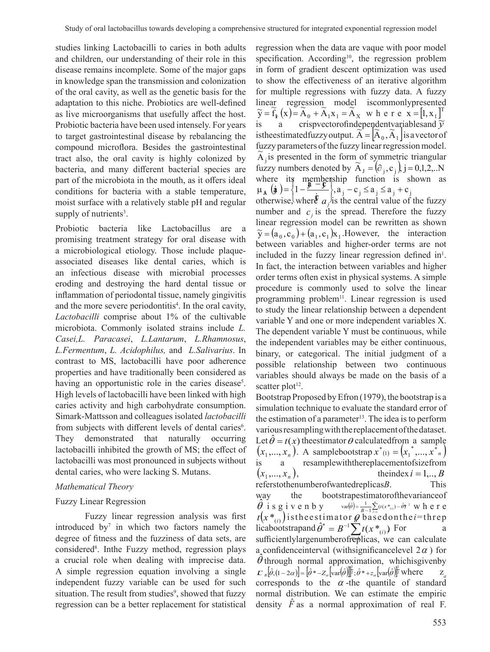studies linking Lactobacilli to caries in both adults and children, our understanding of their role in this disease remains incomplete. Some of the major gaps in knowledge span the transmission and colonization of the oral cavity, as well as the genetic basis for the adaptation to this niche. Probiotics are well-defined as live microorganisms that usefully affect the host. Probiotic bacteria have been used intensely. For years to target gastrointestinal disease by rebalancing the compound microflora. Besides the gastrointestinal tract also, the oral cavity is highly colonized by bacteria, and many different bacterial species are part of the microbiota in the mouth, as it offers ideal conditions for bacteria with a stable temperature, moist surface with a relatively stable pH and regular supply of nutrients<sup>3</sup>.

Probiotic bacteria like Lactobacillus are a promising treatment strategy for oral disease with a microbiological etiology. Those include plaqueassociated diseases like dental caries, which is an infectious disease with microbial processes eroding and destroying the hard dental tissue or inflammation of periodontal tissue, namely gingivitis and the more severe periodontitis<sup>4</sup>. In the oral cavity, *Lactobacilli* comprise about 1% of the cultivable microbiota. Commonly isolated strains include *L. Casei,L. Paracasei*, *L.Lantarum*, *L.Rhamnosus*, *L.Fermentum*, *L. Acidophilus,* and *L.Salivarius*. In contrast to MS, lactobacilli have poor adherence properties and have traditionally been considered as having an opportunistic role in the caries disease<sup>5</sup>. High levels of lactobacilli have been linked with high caries activity and high carbohydrate consumption. Simark-Mattsson and colleagues isolated *lactobacilli* from subjects with different levels of dental caries<sup>6</sup>. They demonstrated that naturally occurring lactobacilli inhibited the growth of MS; the effect of lactobacilli was most pronounced in subjects without dental caries, who were lacking S. Mutans.

# *Mathematical Theory*

# Fuzzy Linear Regression

 Fuzzy linear regression analysis was first introduced by<sup>7</sup> in which two factors namely the degree of fitness and the fuzziness of data sets, are considered<sup>8</sup> . Inthe Fuzzy method, regression plays a crucial role when dealing with imprecise data. A simple regression equation involving a single independent fuzzy variable can be used for such situation. The result from studies<sup>9</sup>, showed that fuzzy regression can be a better replacement for statistical

regression when the data are vaque with poor model specification. According<sup>10</sup>, the regression problem in form of gradient descent optimization was used to show the effectiveness of an iterative algorithm for multiple regressions with fuzzy data. A fuzzy linear regression model iscommonlypresented  $\widetilde{y} = \widetilde{f}_f(x) = \widetilde{A}_0 + \widetilde{A}_1 x_1 = \widetilde{A}_x$  w h e r e x =  $\begin{bmatrix} 1, x_1 \end{bmatrix}^T$ is a crispvectorofindependent variables and  $\tilde{y}$ istheestimatedfuzzy output.  $\widetilde{A} = [\widetilde{A}_0, \widetilde{A}_1]$  is a vector of fuzzy parameters of the fuzzy linear regression model.  $\tilde{A}_j$  is presented in the form of symmetric triangular fuzzy numbers denoted by  $\widetilde{A}_J = (\hat{\sigma}_j, c_j)$ , j = 0,1,2,..N where its membership function is shown as  $\left( \frac{1}{\lambda} \right) = \left\{ 1 - \frac{\frac{3}{2} - \frac{6}{2}}{1}, \frac{3}{2} - \frac{1}{2} \right\}, \quad \left( \frac{3}{2} - \frac{1}{2} \right) \leq a_j \leq a_j + c_j$ otherwise, where  $a_j$  is the central value of the fuzzy ľ where  $\lim_{\mu_A} (\dot{\mathbf{a}}) = \left\{1 - \frac{\mathbf{a} - \mathbf{b}}{2}\right\}$ number and  $c_i$  is the spread. Therefore the fuzzy linear regression model can be rewritten as shown  $\widetilde{y} = (a_0, c_0) + (a_1, c_1)x_1$ . However, the interaction between variables and higher-order terms are not included in the fuzzy linear regression defined  $in<sup>1</sup>$ . In fact, the interaction between variables and higher order terms often exist in physical systems. A simple procedure is commonly used to solve the linear programming problem<sup>11</sup>. Linear regression is used to study the linear relationship between a dependent variable Y and one or more independent variables X. The dependent variable Y must be continuous, while the independent variables may be either continuous, binary, or categorical. The initial judgment of a possible relationship between two continuous variables should always be made on the basis of a scatter  $plot<sup>12</sup>$ .

Bootstrap Proposed byEfron (1979), the bootstrap is a simulation technique to evaluate the standard error of the estimation of a parameter<sup>13</sup>. The idea is to perform variousresamplingwiththereplacementofthedataset. Let  $\ddot{\theta} = t(x)$  the estimator  $\theta$  calculated from a sample  $(x_1, ..., x_n)$ . A samplebootstrap  $x^*(1) = (x_1^*, ..., x_n^*)$ is a resamplewiththereplacementofsizefrom  $(x_1, ..., x_n),$  theindex  $i = 1, ..., B$ referstothenumberofwantedreplicas*B*. This way the bootstrapestimatorofthevarianceof  $\theta$  is given by  $\hat{\theta}$  is given by  $\text{var}(\hat{\theta}) = \frac{1}{B-1}\sum_{i=1}^{B} (t(x *_{(i)}) - \hat{\theta})^2$  $\frac{1}{B-1}\sum_{i=1}^{n}(t(x *_{(i)}) - \hat{\theta})^2$  where  $t\big(x\, *_{_{(i)}}\big)$  istheestimator  $\theta$  basedonthe *i*=threp licabootstrapand  $\hat{\theta}^* = B^{-1} \sum_{i=1}^{n} t(x *_{(i)})$  For a sufficiently large number of resplicas, we can calculate sufficientlylargenumberofreplicas, we can calculate a confidence interval (with significance level  $2\alpha$ ) for  $\hat{\theta}$  through normal approximation, whichisgiven by  $\mathcal{L}_s[\hat{\theta}, (1-2\alpha)] = [\hat{\theta}^* - Z_\alpha \left[\text{var}(\hat{\theta})\right]^{\frac{1}{2}}; \hat{\theta}^* + z_\alpha \left[\text{var}(\hat{\theta})\right]^{\frac{1}{2}} \text{where}$ corresponds to the  $\alpha$ -the quantile of standard normal distribution. We can estimate the empiric density *F* as a normal approximation of real F.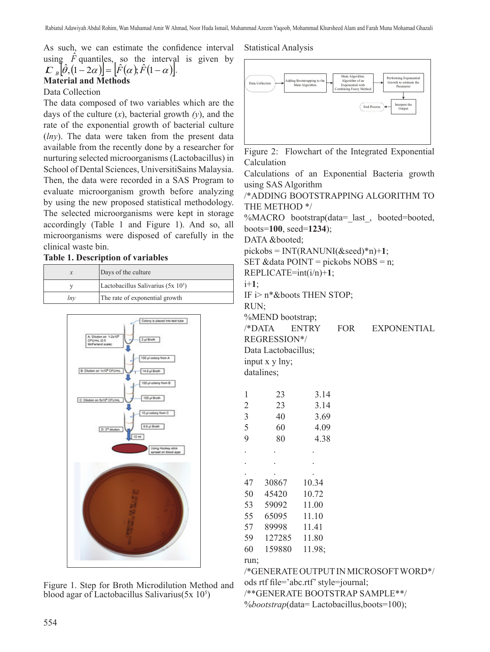As such, we can estimate the confidence interval using  $\hat{F}$  quantiles, so the interval is given by  $\left| \sum_{B} \hat{\theta}$ ,  $(1 - 2\alpha) \right| = \left[ \hat{F}(\alpha) \cdot \hat{F}(1 - \alpha) \right].$ **Material and Methods**

# Data Collection

The data composed of two variables which are the days of the culture (*x*), bacterial growth *(y*), and the rate of the exponential growth of bacterial culture (*lny*). The data were taken from the present data available from the recently done by a researcher for nurturing selected microorganisms (Lactobacillus) in School of Dental Sciences, UniversitiSains Malaysia. Then, the data were recorded in a SAS Program to evaluate microorganism growth before analyzing by using the new proposed statistical methodology. The selected microorganisms were kept in storage accordingly (Table 1 and Figure 1). And so, all microorganisms were disposed of carefully in the clinical waste bin.

## **Table 1. Description of variables**

|     | Days of the culture                  |
|-----|--------------------------------------|
|     | Lactobacillus Salivarius $(5x 10^5)$ |
| lnv | The rate of exponential growth       |



Figure 1. Step for Broth Microdilution Method and blood agar of Lactobacillus Salivarius(5x 105)

# Statistical Analysis



Figure 2: Flowchart of the Integrated Exponential Calculation

Calculations of an Exponential Bacteria growth using SAS Algorithm

/\*ADDING BOOTSTRAPPING ALGORITHM TO THE METHOD \*/

%MACRO bootstrap(data= last, booted=booted, boots=**100**, seed=**1234**);

DATA &booted;

 $pickses = INT(RANUNI(\&seed)*n)+1;$ 

SET & data POINT = pickobs NOBS = n;

REPLICATE=int(i/n)+**1**;

i+**1**;

IF i> n\*&boots THEN STOP;

RUN;

%MEND bootstrap;

/\*DATA ENTRY FOR EXPONENTIAL

REGRESSION\*/

Data Lactobacillus; input x y lny;

datalines;

| 1              | 23     | 3.14   |
|----------------|--------|--------|
| $\overline{2}$ | 23     | 3.14   |
| 3              | 40     | 3.69   |
| 5              | 60     | 4.09   |
| 9              | 80     | 4.38   |
|                |        |        |
|                |        |        |
|                |        |        |
| 47             | 30867  | 10.34  |
| 50             | 45420  | 10.72  |
| 53             | 59092  | 11.00  |
| 55             | 65095  | 11.10  |
| 57             | 89998  | 11.41  |
| 59             | 127285 | 11.80  |
| 60             | 159880 | 11.98; |
| run:           |        |        |

/\*GENERATE OUTPUTINMICROSOFTWORD\*/ ods rtf file='abc.rtf'style=journal; /\*\*GENERATE BOOTSTRAP SAMPLE\*\*/ %*bootstrap*(data= Lactobacillus,boots=100);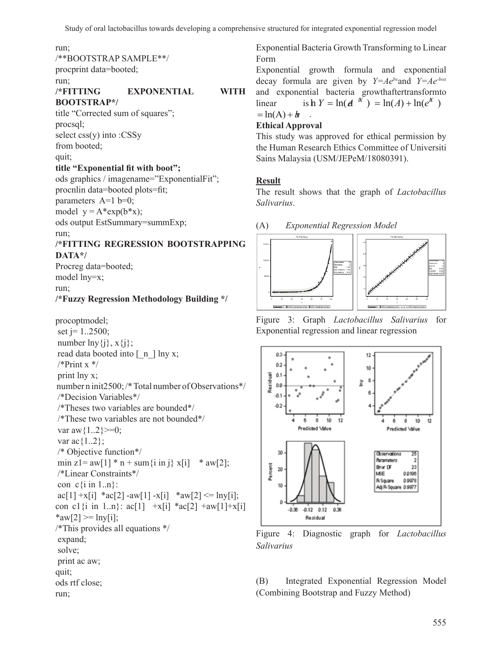#### run;

/\*\*BOOTSTRAP SAMPLE\*\*/

procprint data=booted;

run;

# **/\*FITTING EXPONENTIAL WITH BOOTSTRAP\*/**

title "Corrected sum of squares"; procsql; select css(y) into :CSSy from booted; quit;

# **title "Exponential fit with boot";**

ods graphics / imagename="ExponentialFit"; procnlin data=booted plots=fit; parameters  $A=1$  b=0; model  $y = A^*exp(b^*x)$ ; ods output EstSummary=summExp; run;

# **/\*FITTING REGRESSION BOOTSTRAPPING DATA\*/**

Procreg data=booted; model lny=x; run;

# **/\*Fuzzy Regression Methodology Building \*/**

procoptmodel; set  $j = 1..2500$ ; number  $\ln y\{j\}$ ,  $x\{j\}$ ; read data booted into  $\lceil n \rceil \ln y$  x;  $*$ Print x  $*$ print lny x; number n init2500; /\* Total number of Observations\*/ /\*Decision Variables\*/ /\*Theses two variables are bounded\*/ /\*These two variables are not bounded\*/ var aw $\{1..2\}$  >=0; var ac $\{1..2\};$ /\* Objective function\*/ min z1= aw[1]  $*$  n + sum{i in j} x[i]  $*$  aw[2]; /\*Linear Constraints\*/ con  $c\{i \text{ in } 1..n\}$ : ac[1] +x[i] \*ac[2] -aw[1] -x[i] \*aw[2] <= lny[i]; con c1{i in 1..n}:  $ac[1]$  +x[i] \* $ac[2]$  +aw[1]+x[i] \*aw[2] > lny[i]; /\*This provides all equations \*/ expand; solve; print ac aw; quit; ods rtf close; run;

Exponential Bacteria Growth Transforming to Linear Form

Exponential growth formula and exponential decay formula are given by *Y=Aebx*and *Y=Ae-box* and exponential bacteria growthaftertransformto  $\ln \ln Y = \ln(A \ln \log \log X) = \ln(A) + \ln(e^{X})$  $= \ln(A) + b$ 

# **Ethical Approval**

This study was approved for ethical permission by the Human Research Ethics Committee of Universiti Sains Malaysia (USM/JEPeM/18080391).

# **Result**

The result shows that the graph of *Lactobacillus Salivarius*.





Figure 3: Graph *Lactobacillus Salivarius* for Exponential regression and linear regression



Figure 4: Diagnostic graph for *Lactobacillus Salivarius*

(B) Integrated Exponential Regression Model (Combining Bootstrap and Fuzzy Method)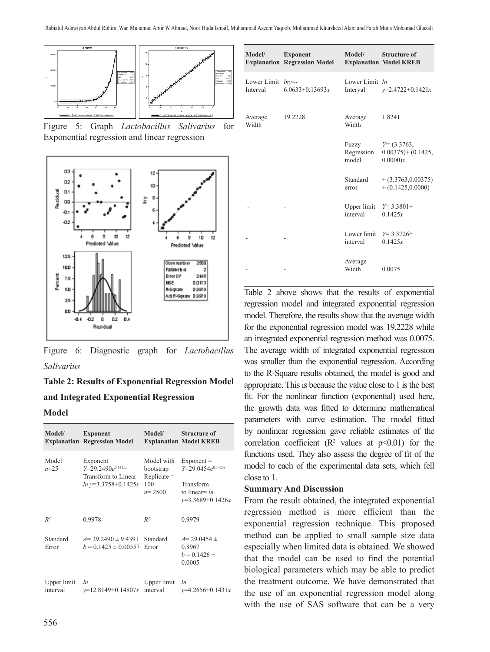







# **Table 2: Results of Exponential Regression Model and Integrated Exponential Regression**

# **Model**

| Model/                  | <b>Exponent</b><br><b>Explanation Regression Model</b>                             | Model/                                                      | <b>Structure of</b><br><b>Explanation Model KREB</b>                                         |
|-------------------------|------------------------------------------------------------------------------------|-------------------------------------------------------------|----------------------------------------------------------------------------------------------|
| Model<br>$n=25$         | Exponent<br>$Y=29.2490e^{0.1425x}$<br>Transform to Linear<br>$ln y=3.3758+0.1425x$ | Model with<br>bootstrap<br>$Replace =$<br>100<br>$n = 2500$ | $Exponent =$<br>$Y=29.0454e^{0.1426x}$<br>Transform<br>to linear= $ln$<br>$y=3.3689+0.1426x$ |
| $R^2$                   | 0.9978                                                                             | $R^2$                                                       | 0.9979                                                                                       |
| Standard<br>Error       | $A=29.2490 \pm 9.4391$<br>$b = 0.1425 \pm 0.00557$                                 | Standard<br>Error                                           | $A=29.0454 \pm$<br>0.8967<br>$b = 0.1426 \pm$<br>0.0005                                      |
| Upper limit<br>interval | <i>ln</i><br>$v=12.8149+0.14807x$                                                  | Upper limit<br>interval                                     | <i>ln</i><br>$v=4.2656+0.1431x$                                                              |

| Model/                                | <b>Exponent</b><br><b>Explanation Regression Model</b> | Model/                              | <b>Structure of</b><br><b>Explanation Model KREB</b> |
|---------------------------------------|--------------------------------------------------------|-------------------------------------|------------------------------------------------------|
| Lower Limit <i>lny</i> =-<br>Interval | $6.0633+0.13693x$                                      | Lower Limit In<br>Interval          | $y=2.4722+0.1421x$                                   |
| Average<br>Width                      | 19.2228                                                | Average<br>Width                    | 1.8241                                               |
|                                       |                                                        | Fuzzy<br>Regression<br>model        | $Y = (3.3763,$<br>$0.00375$ + $(0.1425,$<br>0.0000)x |
|                                       |                                                        | Standard<br>error                   | $\pm (3.3763, 0.00375)$<br>$\pm (0.1425, 0.0000)$    |
|                                       |                                                        | Upper limit $Y=3.3801+$<br>interval | 0.1425x                                              |
|                                       |                                                        | Lower limit $Y=3.3726+$<br>interval | 0.1425x                                              |
|                                       |                                                        | Average<br>Width                    | 0.0075                                               |

Table 2 above shows that the results of exponential regression model and integrated exponential regression model. Therefore, the results show that the average width for the exponential regression model was 19.2228 while an integrated exponential regression method was 0.0075. The average width of integrated exponential regression was smaller than the exponential regression. According to the R-Square results obtained, the model is good and appropriate. This is because the value close to  $1$  is the best fit. For the nonlinear function (exponential) used here, the growth data was fitted to determine mathematical parameters with curve estimation. The model fitted by nonlinear regression gave reliable estimates of the correlation coefficient ( $\mathbb{R}^2$  values at  $p<0.01$ ) for the functions used. They also assess the degree of fit of the model to each of the experimental data sets, which fell close to 1.

#### **Summary And Discussion**

From the result obtained, the integrated exponential regression method is more efficient than the exponential regression technique. This proposed method can be applied to small sample size data especially when limited data is obtained. We showed that the model can be used to find the potential biological parameters which may be able to predict the treatment outcome. We have demonstrated that the use of an exponential regression model along with the use of SAS software that can be a very